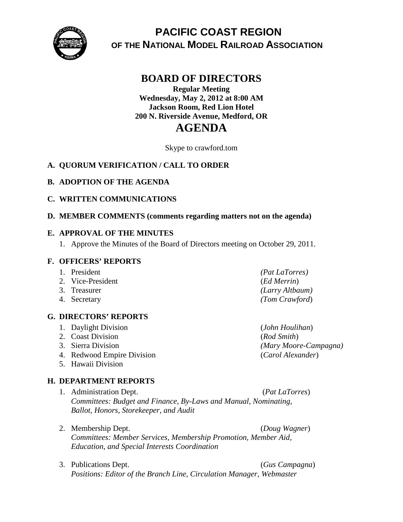

# **PACIFIC COAST REGION OF THE NATIONAL MODEL RAILROAD ASSOCIATION**

# **BOARD OF DIRECTORS**

## **Regular Meeting Wednesday, May 2, 2012 at 8:00 AM Jackson Room, Red Lion Hotel 200 N. Riverside Avenue, Medford, OR**

# **AGENDA**

Skype to crawford.tom

## **A. QUORUM VERIFICATION / CALL TO ORDER**

#### **B. ADOPTION OF THE AGENDA**

#### **C. WRITTEN COMMUNICATIONS**

#### **D. MEMBER COMMENTS (comments regarding matters not on the agenda)**

#### **E. APPROVAL OF THE MINUTES**

1. Approve the Minutes of the Board of Directors meeting on October 29, 2011.

#### **F. OFFICERS' REPORTS**

- 
- 2. Vice-President (*Ed Merrin*)
- 
- 

#### **G. DIRECTORS' REPORTS**

- 1. Daylight Division (*John Houlihan*)
- 2. Coast Division (*Rod Smith*)
- 
- 4. Redwood Empire Division (*Carol Alexander*)
- 5. Hawaii Division

### **H. DEPARTMENT REPORTS**

- 1. Administration Dept. (*Pat LaTorres*) *Committees: Budget and Finance, By-Laws and Manual, Nominating, Ballot, Honors, Storekeeper, and Audit*
- 2. Membership Dept. (*Doug Wagner*) *Committees: Member Services, Membership Promotion, Member Aid, Education, and Special Interests Coordination*
- 3. Publications Dept. (*Gus Campagna*) *Positions: Editor of the Branch Line, Circulation Manager, Webmaster*

1. President *(Pat LaTorres)* 3. Treasurer *(Larry Altbaum)* 4. Secretary *(Tom Crawford*)

3. Sierra Division *(Mary Moore-Campagna)*